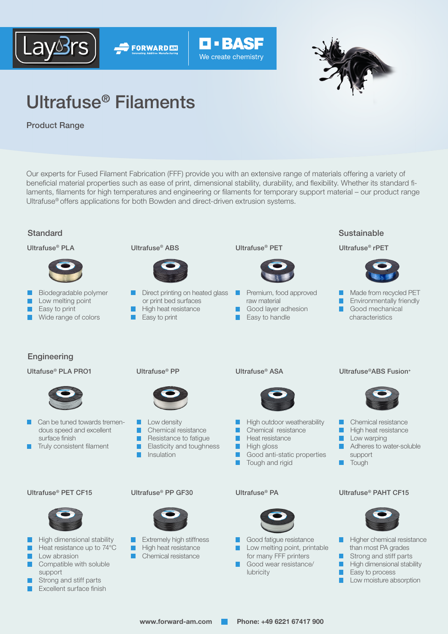





# Ultrafuse® Filaments

**FORWARD AND** 

Product Range

Our experts for Fused Filament Fabrication (FFF) provide you with an extensive range of materials offering a variety of beneficial material properties such as ease of print, dimensional stability, durability, and flexibility. Whether its standard filaments, filaments for high temperatures and engineering or filaments for temporary support material – our product range Ultrafuse® offers applications for both Bowden and direct-driven extrusion systems.